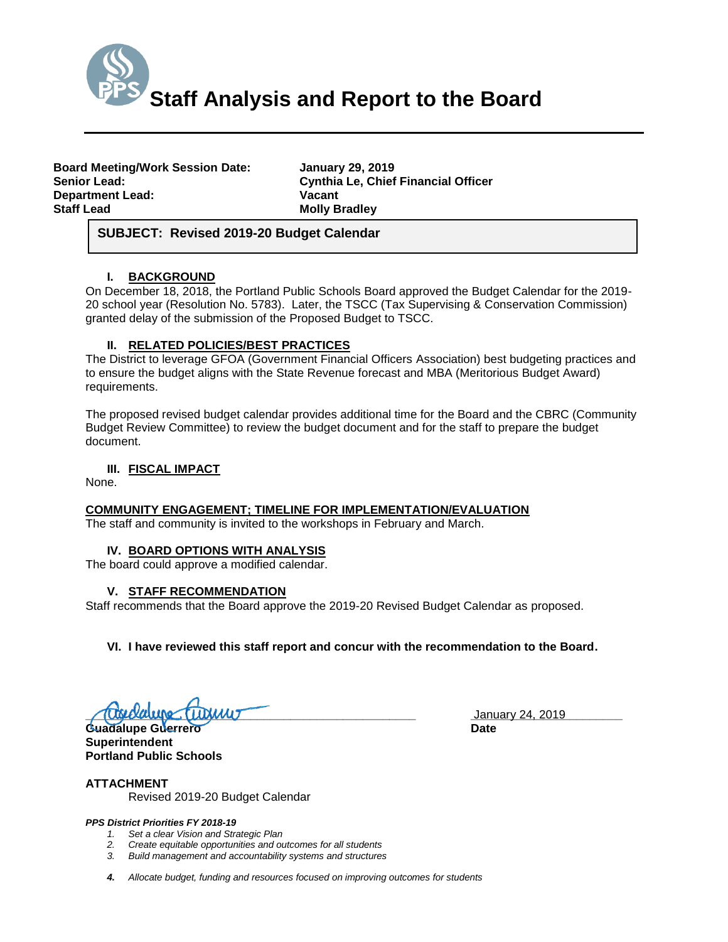

| <b>Board Meeting/Work Session Date:</b> |  |
|-----------------------------------------|--|
| <b>Senior Lead:</b>                     |  |
| <b>Department Lead:</b>                 |  |
| <b>Staff Lead</b>                       |  |

**Board Meeting/Work Session Date: January 29, 2019 Cynthia Le, Chief Financial Officer Vacant Molly Bradley** 

# *(Use this section to briefly explain the item—2-3 sentences)* **SUBJECT: Revised 2019-20 Budget Calendar**

## **I. BACKGROUND**

On December 18, 2018, the Portland Public Schools Board approved the Budget Calendar for the 2019- 20 school year (Resolution No. 5783). Later, the TSCC (Tax Supervising & Conservation Commission) granted delay of the submission of the Proposed Budget to TSCC.

## **II. RELATED POLICIES/BEST PRACTICES**

The District to leverage GFOA (Government Financial Officers Association) best budgeting practices and to ensure the budget aligns with the State Revenue forecast and MBA (Meritorious Budget Award) requirements.

The proposed revised budget calendar provides additional time for the Board and the CBRC (Community Budget Review Committee) to review the budget document and for the staff to prepare the budget document.

## **III. FISCAL IMPACT**

None.

## **COMMUNITY ENGAGEMENT; TIMELINE FOR IMPLEMENTATION/EVALUATION**

The staff and community is invited to the workshops in February and March.

#### **IV. BOARD OPTIONS WITH ANALYSIS**

The board could approve a modified calendar.

## **V. STAFF RECOMMENDATION**

Staff recommends that the Board approve the 2019-20 Revised Budget Calendar as proposed.

#### **VI. I have reviewed this staff report and concur with the recommendation to the Board.**

**\_\_\_\_\_\_\_\_\_\_\_\_\_\_\_\_\_\_\_\_\_\_\_\_\_\_\_\_\_\_\_\_\_\_\_\_\_\_\_\_\_\_\_\_\_\_\_\_\_\_ \_\_\_\_\_\_\_\_\_\_\_\_\_\_\_\_\_\_\_\_\_\_\_** January 24, 2019

**Guadalupe Guerrero Date Superintendent Portland Public Schools**

**ATTACHMENT** Revised 2019-20 Budget Calendar

#### *PPS District Priorities FY 2018-19*

- *1. Set a clear Vision and Strategic Plan*
- *2. Create equitable opportunities and outcomes for all students*
- *3. Build management and accountability systems and structures*
- *4. Allocate budget, funding and resources focused on improving outcomes for students*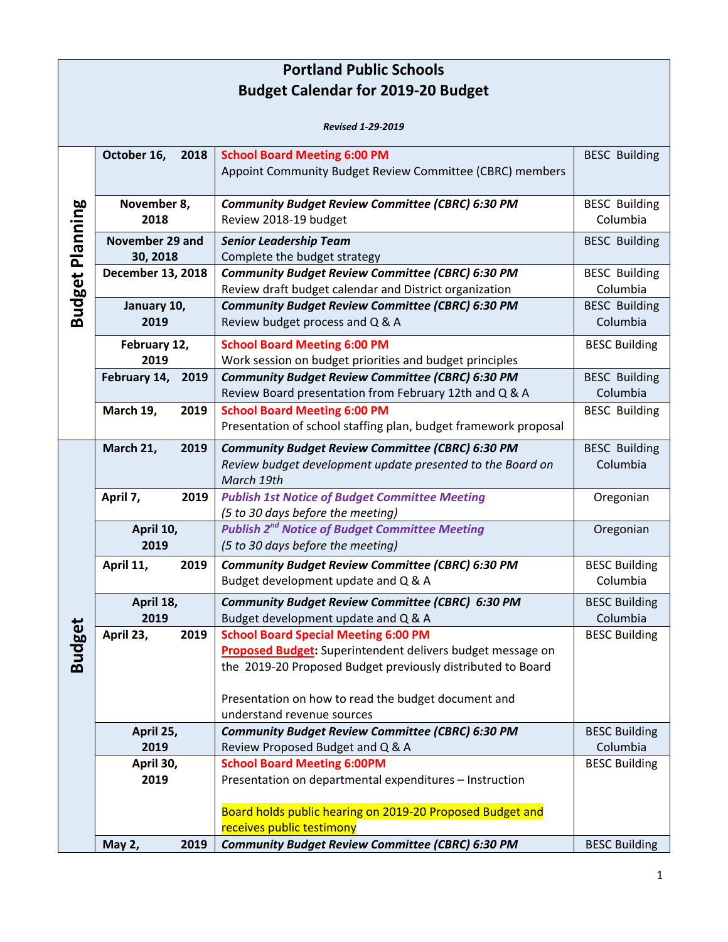| <b>Portland Public Schools</b> |                      |                                                                  |                      |  |  |
|--------------------------------|----------------------|------------------------------------------------------------------|----------------------|--|--|
|                                |                      | <b>Budget Calendar for 2019-20 Budget</b>                        |                      |  |  |
|                                |                      |                                                                  |                      |  |  |
|                                |                      | <b>Revised 1-29-2019</b>                                         |                      |  |  |
|                                | October 16,<br>2018  | <b>School Board Meeting 6:00 PM</b>                              | <b>BESC Building</b> |  |  |
|                                |                      | Appoint Community Budget Review Committee (CBRC) members         |                      |  |  |
|                                |                      |                                                                  |                      |  |  |
|                                | November 8,          | <b>Community Budget Review Committee (CBRC) 6:30 PM</b>          | <b>BESC Building</b> |  |  |
| Planning                       | 2018                 | Review 2018-19 budget                                            | Columbia             |  |  |
|                                | November 29 and      | <b>Senior Leadership Team</b>                                    | <b>BESC Building</b> |  |  |
|                                | 30, 2018             | Complete the budget strategy                                     |                      |  |  |
|                                | December 13, 2018    | Community Budget Review Committee (CBRC) 6:30 PM                 | <b>BESC Building</b> |  |  |
| <b>Budget</b>                  |                      | Review draft budget calendar and District organization           | Columbia             |  |  |
|                                | January 10,          | <b>Community Budget Review Committee (CBRC) 6:30 PM</b>          | <b>BESC Building</b> |  |  |
|                                | 2019                 | Review budget process and Q & A                                  | Columbia             |  |  |
|                                | February 12,         | <b>School Board Meeting 6:00 PM</b>                              | <b>BESC Building</b> |  |  |
|                                | 2019                 | Work session on budget priorities and budget principles          |                      |  |  |
|                                | February 14,<br>2019 | Community Budget Review Committee (CBRC) 6:30 PM                 | <b>BESC Building</b> |  |  |
|                                |                      | Review Board presentation from February 12th and Q & A           | Columbia             |  |  |
|                                | March 19,<br>2019    | <b>School Board Meeting 6:00 PM</b>                              | <b>BESC Building</b> |  |  |
|                                |                      | Presentation of school staffing plan, budget framework proposal  |                      |  |  |
|                                | March 21,<br>2019    | <b>Community Budget Review Committee (CBRC) 6:30 PM</b>          | <b>BESC Building</b> |  |  |
|                                |                      | Review budget development update presented to the Board on       | Columbia             |  |  |
|                                |                      | March 19th                                                       |                      |  |  |
|                                | April 7,<br>2019     | <b>Publish 1st Notice of Budget Committee Meeting</b>            | Oregonian            |  |  |
|                                |                      | (5 to 30 days before the meeting)                                |                      |  |  |
|                                | April 10,            | <b>Publish 2<sup>nd</sup> Notice of Budget Committee Meeting</b> | Oregonian            |  |  |
|                                | 2019                 | (5 to 30 days before the meeting)                                |                      |  |  |
|                                | April 11,<br>2019    | <b>Community Budget Review Committee (CBRC) 6:30 PM</b>          | <b>BESC Building</b> |  |  |
|                                |                      | Budget development update and Q & A                              | Columbia             |  |  |
|                                | April 18,            | <b>Community Budget Review Committee (CBRC) 6:30 PM</b>          | <b>BESC Building</b> |  |  |
|                                | 2019                 | Budget development update and Q & A                              | Columbia             |  |  |
| <b>Budget</b>                  | April 23,<br>2019    | <b>School Board Special Meeting 6:00 PM</b>                      | <b>BESC Building</b> |  |  |
|                                |                      | Proposed Budget: Superintendent delivers budget message on       |                      |  |  |
|                                |                      | the 2019-20 Proposed Budget previously distributed to Board      |                      |  |  |
|                                |                      | Presentation on how to read the budget document and              |                      |  |  |
|                                |                      | understand revenue sources                                       |                      |  |  |
|                                | April 25,            | Community Budget Review Committee (CBRC) 6:30 PM                 | <b>BESC Building</b> |  |  |
|                                | 2019                 | Review Proposed Budget and Q & A                                 | Columbia             |  |  |
|                                | April 30,            | <b>School Board Meeting 6:00PM</b>                               | <b>BESC Building</b> |  |  |
|                                | 2019                 | Presentation on departmental expenditures - Instruction          |                      |  |  |
|                                |                      |                                                                  |                      |  |  |
|                                |                      | Board holds public hearing on 2019-20 Proposed Budget and        |                      |  |  |
|                                |                      | receives public testimony                                        |                      |  |  |
|                                | May 2,<br>2019       | <b>Community Budget Review Committee (CBRC) 6:30 PM</b>          | <b>BESC Building</b> |  |  |